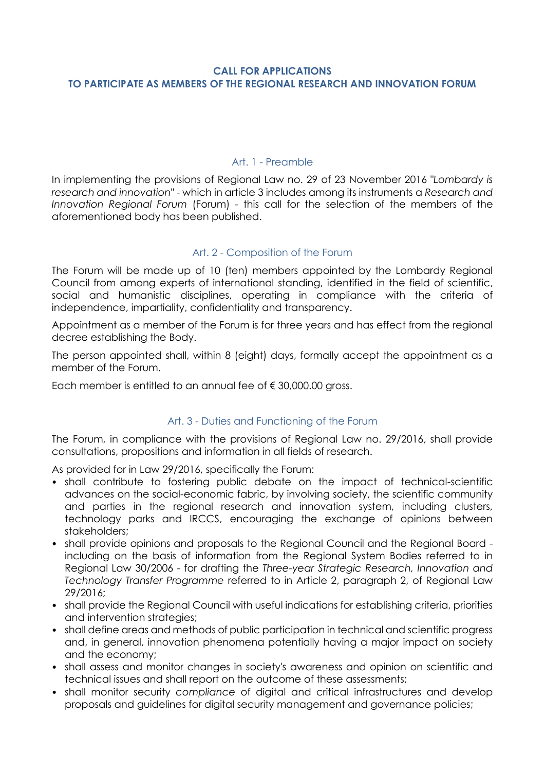### **CALL FOR APPLICATIONS TO PARTICIPATE AS MEMBERS OF THE REGIONAL RESEARCH AND INNOVATION FORUM**

### Art. 1 - Preamble

In implementing the provisions of Regional Law no. 29 of 23 November 2016 "*Lombardy is research and innovation*" - which in article 3 includes among its instruments a *Research and Innovation Regional Forum* (Forum) - this call for the selection of the members of the aforementioned body has been published.

# Art. 2 - Composition of the Forum

The Forum will be made up of 10 (ten) members appointed by the Lombardy Regional Council from among experts of international standing, identified in the field of scientific, social and humanistic disciplines, operating in compliance with the criteria of independence, impartiality, confidentiality and transparency.

Appointment as a member of the Forum is for three years and has effect from the regional decree establishing the Body.

The person appointed shall, within 8 (eight) days, formally accept the appointment as a member of the Forum.

Each member is entitled to an annual fee of  $\epsilon$  30,000.00 gross.

# Art. 3 - Duties and Functioning of the Forum

The Forum, in compliance with the provisions of Regional Law no. 29/2016, shall provide consultations, propositions and information in all fields of research.

As provided for in Law 29/2016, specifically the Forum:

- shall contribute to fostering public debate on the impact of technical-scientific advances on the social-economic fabric, by involving society, the scientific community and parties in the regional research and innovation system, including clusters, technology parks and IRCCS, encouraging the exchange of opinions between stakeholders;
- shall provide opinions and proposals to the Regional Council and the Regional Board including on the basis of information from the Regional System Bodies referred to in Regional Law 30/2006 - for drafting the *Three-year Strategic Research, Innovation and Technology Transfer Programme* referred to in Article 2, paragraph 2, of Regional Law 29/2016;
- shall provide the Regional Council with useful indications for establishing criteria, priorities and intervention strategies;
- shall define areas and methods of public participation in technical and scientific progress and, in general, innovation phenomena potentially having a major impact on society and the economy;
- shall assess and monitor changes in society's awareness and opinion on scientific and technical issues and shall report on the outcome of these assessments;
- shall monitor security *compliance* of digital and critical infrastructures and develop proposals and guidelines for digital security management and governance policies;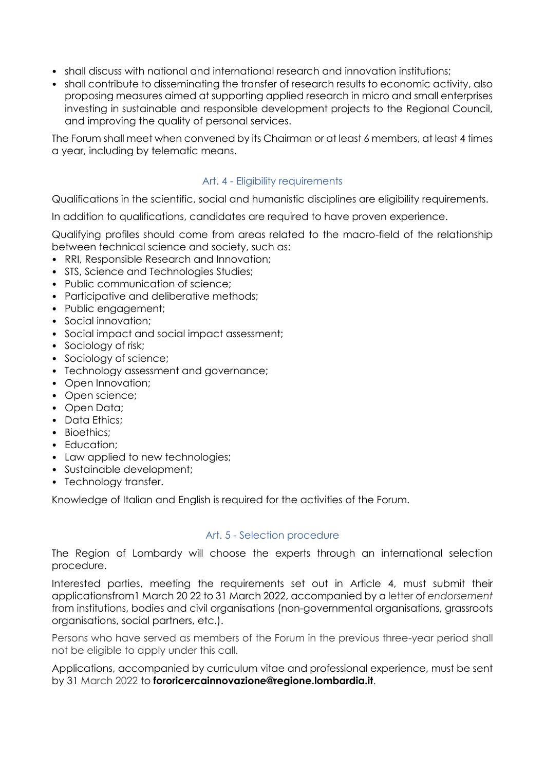- shall discuss with national and international research and innovation institutions;
- shall contribute to disseminating the transfer of research results to economic activity, also proposing measures aimed at supporting applied research in micro and small enterprises investing in sustainable and responsible development projects to the Regional Council, and improving the quality of personal services.

The Forum shall meet when convened by its Chairman or at least 6 members, at least 4 times a year, including by telematic means.

### Art. 4 - Eligibility requirements

Qualifications in the scientific, social and humanistic disciplines are eligibility requirements.

In addition to qualifications, candidates are required to have proven experience.

Qualifying profiles should come from areas related to the macro-field of the relationship between technical science and society, such as:

- RRI, Responsible Research and Innovation;
- STS, Science and Technologies Studies;
- Public communication of science;
- Participative and deliberative methods:
- Public engagement;
- Social innovation;
- Social impact and social impact assessment;
- Sociology of risk;
- Sociology of science;
- Technology assessment and governance;
- Open Innovation;
- Open science;
- Open Data;
- Data Ethics;
- Bioethics:
- Education;
- Law applied to new technologies;
- Sustainable development;
- Technology transfer.

Knowledge of Italian and English is required for the activities of the Forum.

### Art. 5 - Selection procedure

The Region of Lombardy will choose the experts through an international selection procedure.

Interested parties, meeting the requirements set out in Article 4, must submit their applicationsfrom1 March 20 22 to 31 March 2022, accompanied by a letter of *endorsement*  from institutions, bodies and civil organisations (non-governmental organisations, grassroots organisations, social partners, etc.).

Persons who have served as members of the Forum in the previous three-year period shall not be eligible to apply under this call.

Applications, accompanied by curriculum vitae and professional experience, must be sent by 31 March 2022 to **fororicercainnovazione@regione.lombardia.it**.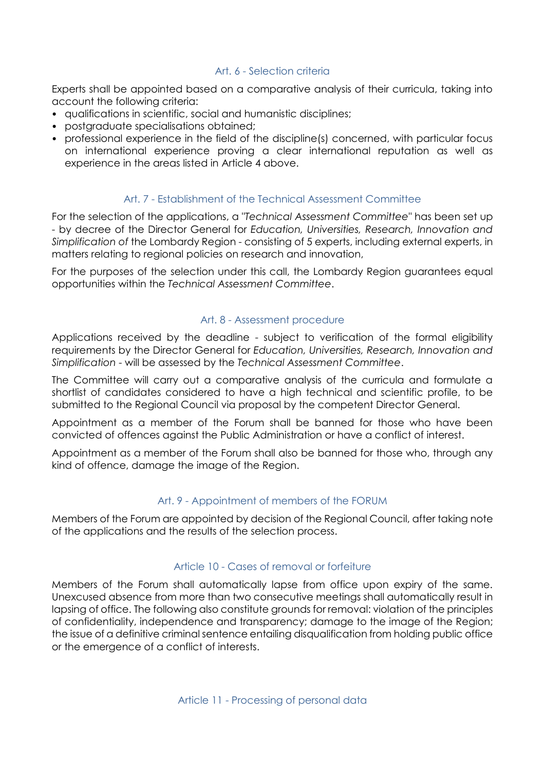### Art. 6 - Selection criteria

Experts shall be appointed based on a comparative analysis of their curricula, taking into account the following criteria:

- qualifications in scientific, social and humanistic disciplines;
- postgraduate specialisations obtained;
- professional experience in the field of the discipline(s) concerned, with particular focus on international experience proving a clear international reputation as well as experience in the areas listed in Article 4 above.

# Art. 7 - Establishment of the Technical Assessment Committee

For the selection of the applications, a "*Technical Assessment Committee*" has been set up - by decree of the Director General for *Education, Universities, Research, Innovation and Simplification of* the Lombardy Region - consisting of 5 experts, including external experts, in matters relating to regional policies on research and innovation,

For the purposes of the selection under this call, the Lombardy Region guarantees equal opportunities within the *Technical Assessment Committee*.

### Art. 8 - Assessment procedure

Applications received by the deadline - subject to verification of the formal eligibility requirements by the Director General for *Education, Universities, Research, Innovation and Simplification* - will be assessed by the *Technical Assessment Committee*.

The Committee will carry out a comparative analysis of the curricula and formulate a shortlist of candidates considered to have a high technical and scientific profile, to be submitted to the Regional Council via proposal by the competent Director General.

Appointment as a member of the Forum shall be banned for those who have been convicted of offences against the Public Administration or have a conflict of interest.

Appointment as a member of the Forum shall also be banned for those who, through any kind of offence, damage the image of the Region.

# Art. 9 - Appointment of members of the FORUM

Members of the Forum are appointed by decision of the Regional Council, after taking note of the applications and the results of the selection process.

### Article 10 - Cases of removal or forfeiture

Members of the Forum shall automatically lapse from office upon expiry of the same. Unexcused absence from more than two consecutive meetings shall automatically result in lapsing of office. The following also constitute grounds for removal: violation of the principles of confidentiality, independence and transparency; damage to the image of the Region; the issue of a definitive criminal sentence entailing disqualification from holding public office or the emergence of a conflict of interests.